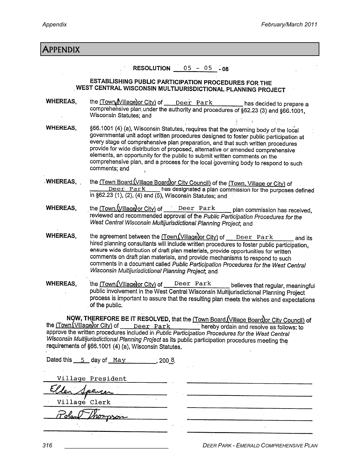| Appendix                                                                                                                                                                                                                                                                                                                                                                                                                                       |                                                                                                                                                                                                                                                                                                                                                                                                                                                                                                                                       |
|------------------------------------------------------------------------------------------------------------------------------------------------------------------------------------------------------------------------------------------------------------------------------------------------------------------------------------------------------------------------------------------------------------------------------------------------|---------------------------------------------------------------------------------------------------------------------------------------------------------------------------------------------------------------------------------------------------------------------------------------------------------------------------------------------------------------------------------------------------------------------------------------------------------------------------------------------------------------------------------------|
|                                                                                                                                                                                                                                                                                                                                                                                                                                                | <b>RESOLUTION</b> $05 - 05 - 08$                                                                                                                                                                                                                                                                                                                                                                                                                                                                                                      |
| ESTABLISHING PUBLIC PARTICIPATION PROCEDURES FOR THE<br>WEST CENTRAL WISCONSIN MULTIJURISDICTIONAL PLANNING PROJECT                                                                                                                                                                                                                                                                                                                            |                                                                                                                                                                                                                                                                                                                                                                                                                                                                                                                                       |
| <b>WHEREAS,</b>                                                                                                                                                                                                                                                                                                                                                                                                                                | the (Town Village) or City) of Deer Park has decided to prepare a<br>comprehensive plan under the authority and procedures of §62.23 (3) and §66.1001,<br>Wisconsin Statutes; and                                                                                                                                                                                                                                                                                                                                                     |
| <b>WHEREAS,</b>                                                                                                                                                                                                                                                                                                                                                                                                                                | §66.1001 (4) (a), Wisconsin Statutes, requires that the governing body of the local<br>governmental unit adopt written procedures designed to foster public participation at<br>every stage of comprehensive plan preparation, and that such written procedures<br>provide for wide distribution of proposed, alternative or amended comprehensive<br>elements, an opportunity for the public to submit written comments on the<br>comprehensive plan, and a process for the local governing body to respond to such<br>comments; and |
| .WHEREAS,                                                                                                                                                                                                                                                                                                                                                                                                                                      | the (Town Board (Village Board) or City Council) of the (Town, Village or City) of<br>Deer Park has designated a plan commission for the purposes defined<br>in §62.23 (1), (2), (4) and (5), Wisconsin Statutes; and                                                                                                                                                                                                                                                                                                                 |
| <b>WHEREAS.</b>                                                                                                                                                                                                                                                                                                                                                                                                                                | the (Town, Village) or City) of Deer Park plan commission has received,<br>reviewed and recommended approval of the Public Participation Procedures for the<br>West Central Wisconsin Multijurisdictional Planning Project; and                                                                                                                                                                                                                                                                                                       |
| <b>WHEREAS,</b>                                                                                                                                                                                                                                                                                                                                                                                                                                | the agreement between the (Town (Village) or City) of Deer Park<br>and its<br>hired planning consultants will include written procedures to foster public participation,<br>ensure wide distribution of draft plan materials, provide opportunities for written<br>comments on draft plan materials, and provide mechanisms to respond to such<br>comments in a document called Public Participation Procedures for the West Central<br>Wisconsin Multijurisdictional Planning Project, and                                           |
| <b>WHEREAS,</b>                                                                                                                                                                                                                                                                                                                                                                                                                                | the (Town (Village) or City) of<br>Deer Park<br>believes that regular, meaningful<br>public involvement in the West Central Wisconsin Multijurisdictional Planning Project<br>process is important to assure that the resulting plan meets the wishes and expectations<br>of the public.                                                                                                                                                                                                                                              |
| NOW, THEREFORE BE IT RESOLVED, that the (Town Board (Village Board) or City Council) of<br>the (Town, Village) or City) of Deer Park hereby ordain and resolve as follows: to<br>approve the written procedures included in Public Participation Procedures for the West Central<br>Wisconsin Multijurisdictional Planning Project as its public participation procedures meeting the<br>requirements of §66.1001 (4) (a), Wisconsin Statutes. |                                                                                                                                                                                                                                                                                                                                                                                                                                                                                                                                       |
| Dated this $5$ day of May 200 8.                                                                                                                                                                                                                                                                                                                                                                                                               |                                                                                                                                                                                                                                                                                                                                                                                                                                                                                                                                       |
| Village President<br>$E/\sqrt{2}$                                                                                                                                                                                                                                                                                                                                                                                                              |                                                                                                                                                                                                                                                                                                                                                                                                                                                                                                                                       |

 $\ddot{\phantom{0}}$ 

 $\mathcal{A}^{\mathcal{A}}$ 

Village Clerk

Polan monoson  $\frac{1}{2}$ 

 $\overline{\mathcal{E}}$ 

 $\bar{\omega}$  .

**DEER PARK - EMERALD COMPREHENSIVE PLAN** 

 $\cdot$ 

 $\hat{\mathcal{E}}$ 

316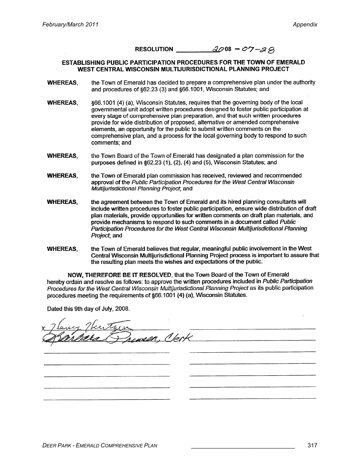## RESOLUTION  $\alpha\beta\beta$  08 - 07-29

### **ESTABLISHING PUBLIC PARTICIPATION PROCEDURES FOR THE TOWN OF EMERALD** WEST CENTRAL WISCONSIN MULTIJURISDICTIONAL PLANNING PROJECT

- the Town of Emerald has decided to prepare a comprehensive plan under the authority **WHEREAS.** and procedures of §62.23 (3) and §66.1001, Wisconsin Statutes; and
- 866.1001 (4) (a). Wisconsin Statutes, requires that the governing body of the local **WHEREAS.** governmental unit adopt written procedures designed to foster public participation at every stage of comprehensive plan preparation, and that such written procedures provide for wide distribution of proposed, alternative or amended comprehensive elements, an opportunity for the public to submit written comments on the comprehensive plan, and a process for the local governing body to respond to such comments: and
- **WHEREAS.** the Town Board of the Town of Emerald has designated a plan commission for the purposes defined in §62.23 (1), (2), (4) and (5), Wisconsin Statutes; and

**WHEREAS,** the Town of Emerald plan commission has received, reviewed and recommended approval of the Public Participation Procedures for the West Central Wisconsin Multijurisdictional Planning Project, and

- the agreement between the Town of Emerald and its hired planning consultants will **WHEREAS.** include written procedures to foster public participation, ensure wide distribution of draft plan materials, provide opportunities for written comments on draft plan materials, and provide mechanisms to respond to such comments in a document called Public Participation Procedures for the West Central Wisconsin Multijurisdictional Planning Project, and
- **WHEREAS.** the Town of Emerald believes that regular, meaningful public involvement in the West Central Wisconsin Multijurisdictional Planning Project process is important to assure that the resulting plan meets the wishes and expectations of the public.

NOW, THEREFORE BE IT RESOLVED, that the Town Board of the Town of Emerald hereby ordain and resolve as follows: to approve the written procedures included in Public Participation Procedures for the West Central Wisconsin Multijurisdictional Planning Project as its public participation procedures meeting the requirements of §66.1001 (4) (a), Wisconsin Statutes.

Dated this 9th day of July, 2008.

wen. Verk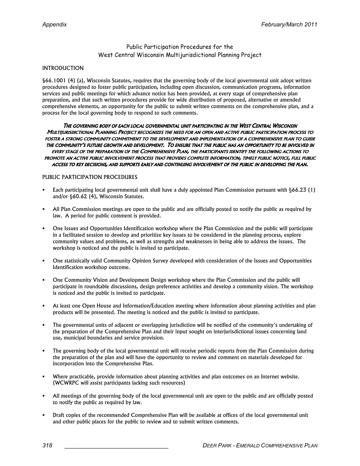# Public Participation Procedures for the West Central Wisconsin Multijurisdictional Planning Project

### INTRODUCTION

§66.1001 (4) (a), Wisconsin Statutes, requires that the governing body of the local governmental unit adopt written procedures designed to foster public participation, including open discussion, communication programs, information services and public meetings for which advance notice has been provided, at every stage of comprehensive plan preparation, and that such written procedures provide for wide distribution of proposed, alternative or amended comprehensive elements, an opportunity for the public to submit written comments on the comprehensive plan, and a process for the local governing body to respond to such comments.

THE GOVERNING BODY OF EACH LOCAL GOVERNMENTAL UNIT PARTICIPATING IN THE WEST CENTRAL WISCONSIN MULTIJURISDICTIONAL PLANNING PROJECT RECOGNIZES THE NEED FOR AN OPEN AND ACTIVE PUBLIC PARTICIPATION PROCESS TO FOSTER A STRONG COMMUNITY COMMITMENT TO THE DEVELOPMENT AND IMPLEMENTATION OF A COMPREHENSIVE PLAN TO GUIDE THE COMMUNITY'S FUTURE GROWTH AND DEVELOPMENT. TO ENSURE THAT THE PUBLIC HAS AN OPPORTUNITY TO BE INVOLVED IN EVERY STAGE OF THE PREPARATION OF THE COMPREHENSIVE PLAN, THE PARTICIPANTS IDENTIFY THE FOLLOWING ACTIONS TO PROMOTE AN ACTIVE PUBLIC INVOLVEMENT PROCESS THAT PROVIDES COMPLETE INFORMATION, TIMELY PUBLIC NOTICE, FULL PUBLIC ACCESS TO KEY DECISIONS, AND SUPPORTS EARLY AND CONTINUING INVOLVEMENT OF THE PUBLIC IN DEVELOPING THE PLAN.

### PUBLIC PARTICIPATION PROCEDURES

- Each participating local governmental unit shall have a duly appointed Plan Commission pursuant with §66.23 (1) and/or §60.62 (4), Wisconsin Statutes.
- All Plan Commission meetings are open to the public and are officially posted to notify the public as required by law. A period for public comment is provided.
- One Issues and Opportunities Identification workshop where the Plan Commission and the public will participate in a facilitated session to develop and prioritize key issues to be considered in the planning process, explore community values and problems, as well as strengths and weaknesses in being able to address the issues. The workshop is noticed and the public is invited to participate.
- One statistically valid Community Opinion Survey developed with consideration of the Issues and Opportunities Identification workshop outcome.
- One Community Vision and Development Design workshop where the Plan Commission and the public will participate in roundtable discussions, design preference activities and develop a community vision. The workshop is noticed and the public is invited to participate.
- At least one Open House and Information/Education meeting where information about planning activities and plan products will be presented. The meeting is noticed and the public is invited to participate.
- The governmental units of adjacent or overlapping jurisdiction will be notified of the community's undertaking of the preparation of the Comprehensive Plan and their input sought on interjurisdictional issues concerning land use, municipal boundaries and service provision.
- The governing body of the local governmental unit will receive periodic reports from the Plan Commission during the preparation of the plan and will have the opportunity to review and comment on materials developed for incorporation into the Comprehensive Plan.
- Where practicable, provide information about planning activities and plan outcomes on an Internet website. (WCWRPC will assist participants lacking such resources)
- All meetings of the governing body of the local governmental unit are open to the public and are officially posted to notify the public as required by law.
- Draft copies of the recommended Comprehensive Plan will be available at offices of the local governmental unit and other public places for the public to review and to submit written comments.